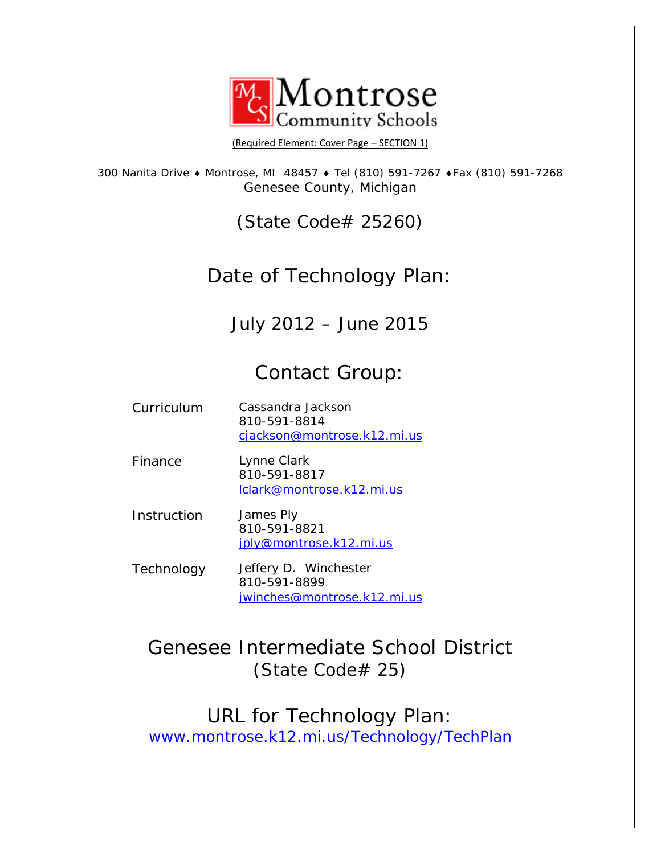

[\(Required](http://www.montrose.k12.mi.us/Main.asp) Element: Cover Page – SECTION 1)

300 Nanita Drive ♦ Montrose, MI 48457 ♦ Tel (810) 591-7267 ♦Fax (810) 591-7268 Genesee County, Michigan

(State Code# 25260)

# Date of Technology Plan:

July 2012 – June 2015

# Contact Group:

| Curriculum | Cassandra Jackson           |
|------------|-----------------------------|
|            | 810-591-8814                |
|            | cjackson@montrose.k12.mi.us |

Finance Lynne Clark 810-591-8817 [lclark@montrose.k12.mi.us](mailto:lclark@montrose.k12.mi.us)

Instruction James Ply 810-591-8821 [jply@montrose.k12.mi.us](mailto:jply@montrose.k12.mi.us)

Technology Jeffery D. Winchester 810-591-8899 [jwinches@montrose.k12.mi.us](mailto:jwinches@montrose.k12.mi.us)

Genesee Intermediate School District (State Code# 25)

URL for Technology Plan: [www.montrose.k12.mi.us/Technology/TechPlan](http://www.montrose.k12.mi.us/Technology/TechPlan)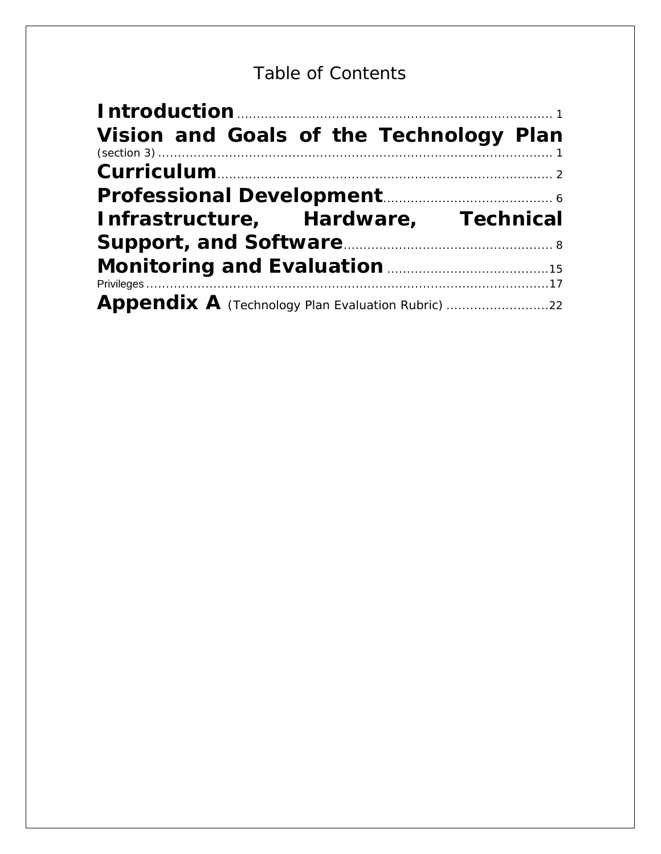# Table of Contents

| Introduction <b>Manual</b> Manual Manual Manual Manual Manual Manual Manual Manual Manual Manual Manual Manual Manual |  |
|-----------------------------------------------------------------------------------------------------------------------|--|
| Vision and Goals of the Technology Plan                                                                               |  |
|                                                                                                                       |  |
| Professional Development [11] Development [11] Development [11] Development [11] Development [11] Development $6$     |  |
| Infrastructure, Hardware, Technical                                                                                   |  |
|                                                                                                                       |  |
| Monitoring and Evaluation <b>Monitoring</b> 15                                                                        |  |
|                                                                                                                       |  |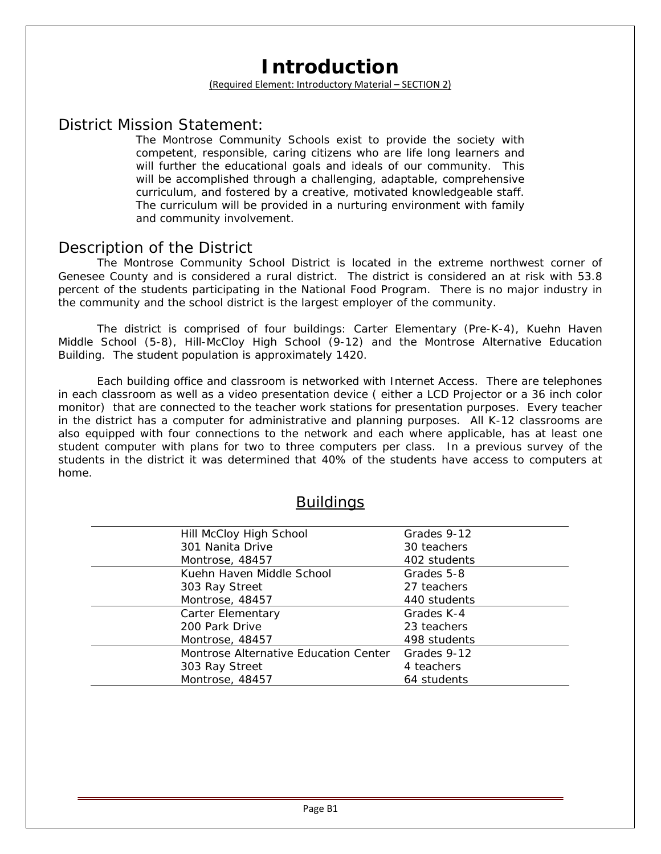# **Introduction**

### (Required Element: Introductory Material – SECTION 2)

## <span id="page-2-0"></span>District Mission Statement:

*The Montrose Community Schools exist to provide the society with competent, responsible, caring citizens who are life long learners and will further the educational goals and ideals of our community. This will be accomplished through a challenging, adaptable, comprehensive curriculum, and fostered by a creative, motivated knowledgeable staff. The curriculum will be provided in a nurturing environment with family and community involvement*.

## Description of the District

The Montrose Community School District is located in the extreme northwest corner of Genesee County and is considered a rural district. The district is considered an at risk with 53.8 percent of the students participating in the National Food Program. There is no major industry in the community and the school district is the largest employer of the community.

The district is comprised of four buildings: Carter Elementary (Pre-K-4), Kuehn Haven Middle School (5-8), Hill-McCloy High School (9-12) and the Montrose Alternative Education Building. The student population is approximately 1420.

Each building office and classroom is networked with Internet Access. There are telephones in each classroom as well as a video presentation device ( either a LCD Projector or a 36 inch color monitor) that are connected to the teacher work stations for presentation purposes. Every teacher in the district has a computer for administrative and planning purposes. All K-12 classrooms are also equipped with four connections to the network and each where applicable, has at least one student computer with plans for two to three computers per class. In a previous survey of the students in the district it was determined that 40% of the students have access to computers at home.

| <b>Buildings</b> |  |
|------------------|--|
|                  |  |

| Hill McCloy High School               | Grades 9-12  |
|---------------------------------------|--------------|
| 301 Nanita Drive                      | 30 teachers  |
| Montrose, 48457                       | 402 students |
| Kuehn Haven Middle School             | Grades 5-8   |
| 303 Ray Street                        | 27 teachers  |
| Montrose, 48457                       | 440 students |
| Carter Elementary                     | Grades K-4   |
| 200 Park Drive                        | 23 teachers  |
| Montrose, 48457                       | 498 students |
| Montrose Alternative Education Center | Grades 9-12  |
| 303 Ray Street                        | 4 teachers   |
| Montrose, 48457                       | 64 students  |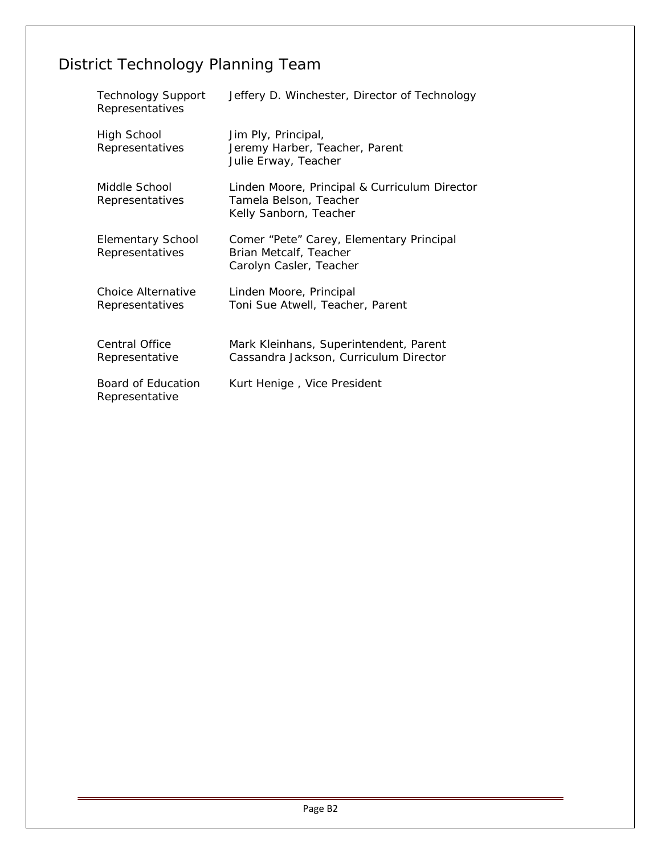# District Technology Planning Team

| <b>Technology Support</b><br>Representatives | Jeffery D. Winchester, Director of Technology                                                     |
|----------------------------------------------|---------------------------------------------------------------------------------------------------|
| High School<br>Representatives               | Jim Ply, Principal,<br>Jeremy Harber, Teacher, Parent<br>Julie Erway, Teacher                     |
| Middle School<br>Representatives             | Linden Moore, Principal & Curriculum Director<br>Tamela Belson, Teacher<br>Kelly Sanborn, Teacher |
| <b>Elementary School</b><br>Representatives  | Comer "Pete" Carey, Elementary Principal<br>Brian Metcalf, Teacher<br>Carolyn Casler, Teacher     |
| Choice Alternative<br>Representatives        | Linden Moore, Principal<br>Toni Sue Atwell, Teacher, Parent                                       |
| <b>Central Office</b><br>Representative      | Mark Kleinhans, Superintendent, Parent<br>Cassandra Jackson, Curriculum Director                  |
| Board of Education<br>Representative         | Kurt Henige, Vice President                                                                       |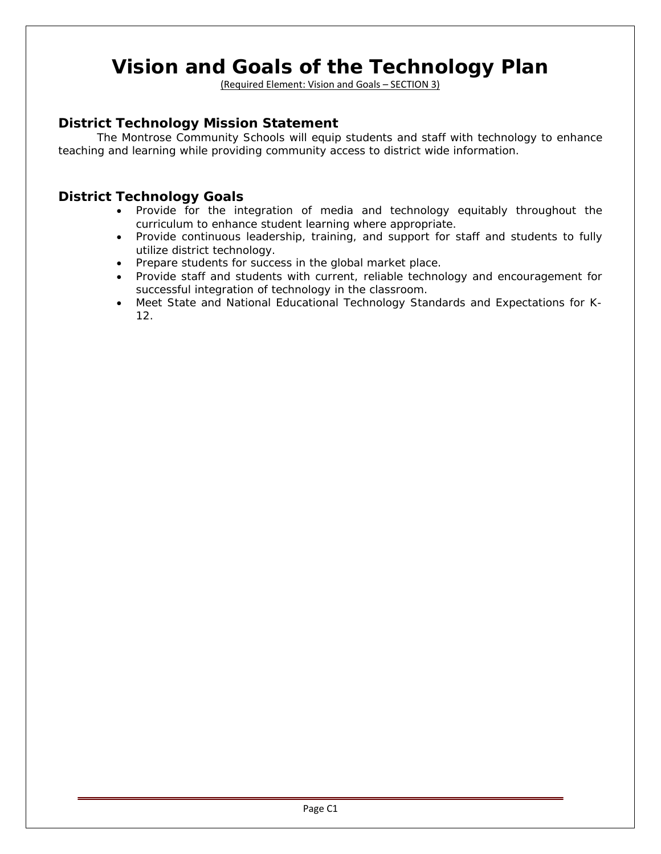# <span id="page-4-0"></span>**Vision and Goals of the Technology Plan**

(Required Element: Vision and Goals – SECTION 3)

## **District Technology Mission Statement**

The Montrose Community Schools will equip students and staff with technology to enhance teaching and learning while providing community access to district wide information.

### **District Technology Goals**

- Provide for the integration of media and technology equitably throughout the curriculum to enhance student learning where appropriate.
- Provide continuous leadership, training, and support for staff and students to fully utilize district technology.
- Prepare students for success in the global market place.
- Provide staff and students with current, reliable technology and encouragement for successful integration of technology in the classroom.
- Meet State and National Educational Technology Standards and Expectations for K-12.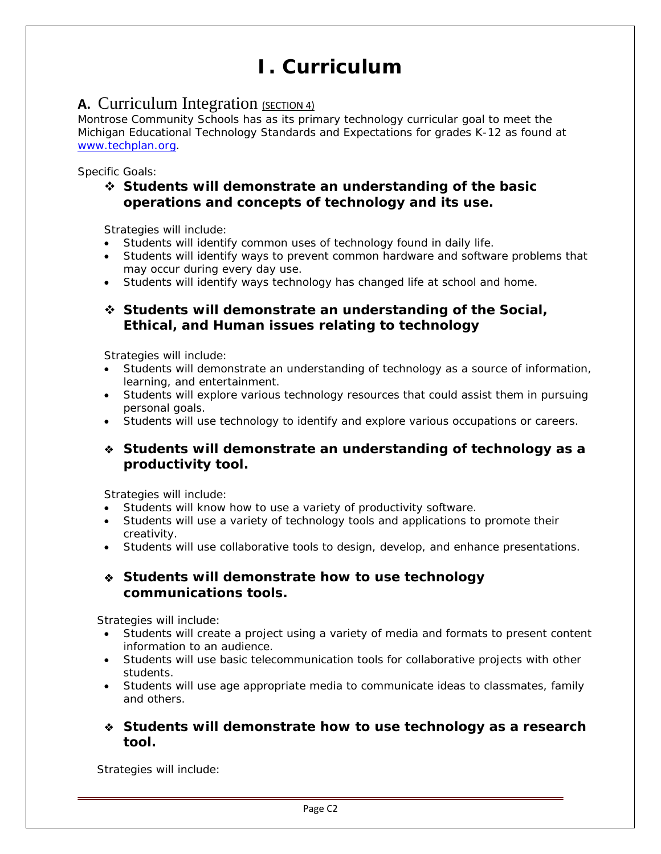# **I. Curriculum**

## <span id="page-5-0"></span>**A.** Curriculum Integration (SECTION 4)

Montrose Community Schools has as its primary technology curricular goal to meet the Michigan Educational Technology Standards and Expectations for grades K-12 as found at [www.techplan.org](http://www.techplan.org/).

Specific Goals:

## **Students will demonstrate an understanding of the basic operations and concepts of technology and its use.**

Strategies will include:

- Students will identify common uses of technology found in daily life.
- Students will identify ways to prevent common hardware and software problems that may occur during every day use.
- Students will identify ways technology has changed life at school and home.

### **Students will demonstrate an understanding of the Social, Ethical, and Human issues relating to technology**

Strategies will include:

- Students will demonstrate an understanding of technology as a source of information, learning, and entertainment.
- Students will explore various technology resources that could assist them in pursuing personal goals.
- Students will use technology to identify and explore various occupations or careers.

### **Students will demonstrate an understanding of technology as a productivity tool.**

Strategies will include:

- Students will know how to use a variety of productivity software.
- Students will use a variety of technology tools and applications to promote their creativity.
- Students will use collaborative tools to design, develop, and enhance presentations.

### **Students will demonstrate how to use technology communications tools.**

Strategies will include:

- Students will create a project using a variety of media and formats to present content information to an audience.
- Students will use basic telecommunication tools for collaborative projects with other students.
- Students will use age appropriate media to communicate ideas to classmates, family and others.

### **Students will demonstrate how to use technology as a research tool.**

Strategies will include: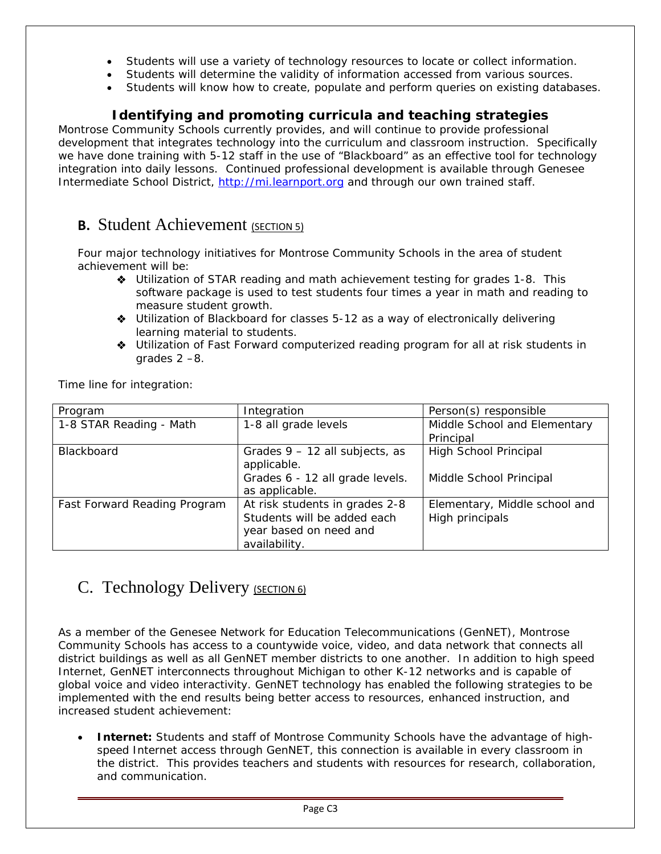- Students will use a variety of technology resources to locate or collect information.
- Students will determine the validity of information accessed from various sources.
- Students will know how to create, populate and perform queries on existing databases.

## **Identifying and promoting curricula and teaching strategies**

Montrose Community Schools currently provides, and will continue to provide professional development that integrates technology into the curriculum and classroom instruction. Specifically we have done training with 5-12 staff in the use of "Blackboard" as an effective tool for technology integration into daily lessons. Continued professional development is available through Genesee Intermediate School District, [http://mi.learnport.org](http://mi.learnport.org/) and through our own trained staff.

## **B.** Student Achievement (SECTION 5)

Four major technology initiatives for Montrose Community Schools in the area of student achievement will be:

- Utilization of STAR reading and math achievement testing for grades 1-8. This software package is used to test students four times a year in math and reading to measure student growth.
- Utilization of Blackboard for classes 5-12 as a way of electronically delivering learning material to students.
- Utilization of Fast Forward computerized reading program for all at risk students in grades 2 –8.

Time line for integration:

| Program                      | Integration                     | Person(s) responsible         |
|------------------------------|---------------------------------|-------------------------------|
| 1-8 STAR Reading - Math      | 1-8 all grade levels            | Middle School and Elementary  |
|                              |                                 | Principal                     |
| Blackboard                   | Grades 9 - 12 all subjects, as  | High School Principal         |
|                              | applicable.                     |                               |
|                              | Grades 6 - 12 all grade levels. | Middle School Principal       |
|                              | as applicable.                  |                               |
| Fast Forward Reading Program | At risk students in grades 2-8  | Elementary, Middle school and |
|                              | Students will be added each     | High principals               |
|                              | year based on need and          |                               |
|                              | availability.                   |                               |

## C. Technology Delivery (SECTION 6)

As a member of the Genesee Network for Education Telecommunications (GenNET), Montrose Community Schools has access to a countywide voice, video, and data network that connects all district buildings as well as all GenNET member districts to one another. In addition to high speed Internet, GenNET interconnects throughout Michigan to other K-12 networks and is capable of global voice and video interactivity. GenNET technology has enabled the following strategies to be implemented with the end results being better access to resources, enhanced instruction, and increased student achievement:

• **Internet:** Students and staff of Montrose Community Schools have the advantage of highspeed Internet access through GenNET, this connection is available in every classroom in the district. This provides teachers and students with resources for research, collaboration, and communication.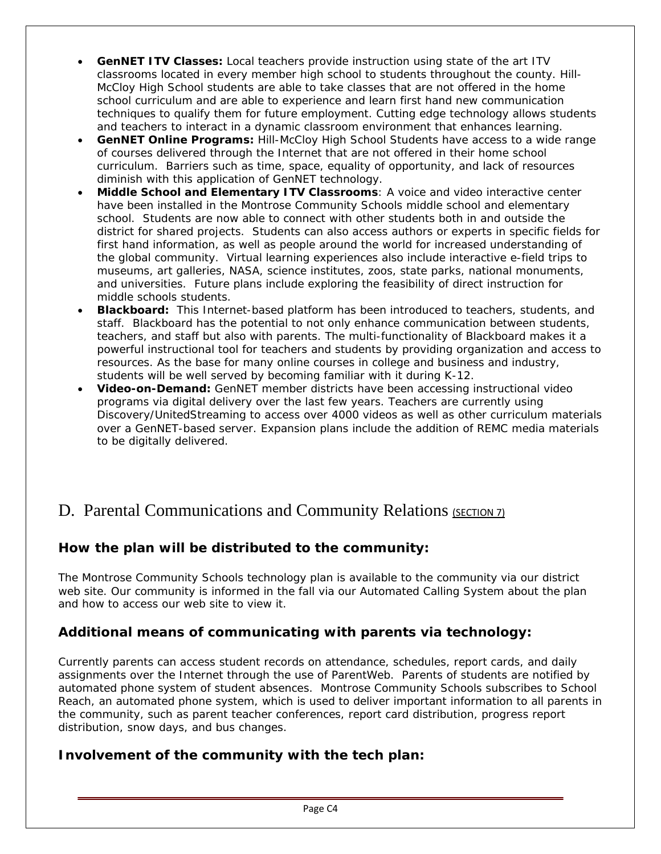- **GenNET ITV Classes:** Local teachers provide instruction using state of the art ITV classrooms located in every member high school to students throughout the county. Hill-McCloy High School students are able to take classes that are not offered in the home school curriculum and are able to experience and learn first hand new communication techniques to qualify them for future employment. Cutting edge technology allows students and teachers to interact in a dynamic classroom environment that enhances learning.
- **GenNET Online Programs:** Hill-McCloy High School Students have access to a wide range of courses delivered through the Internet that are not offered in their home school curriculum. Barriers such as time, space, equality of opportunity, and lack of resources diminish with this application of GenNET technology.
- **Middle School and Elementary ITV Classrooms**: A voice and video interactive center have been installed in the Montrose Community Schools middle school and elementary school. Students are now able to connect with other students both in and outside the district for shared projects. Students can also access authors or experts in specific fields for first hand information, as well as people around the world for increased understanding of the global community. Virtual learning experiences also include interactive e-field trips to museums, art galleries, NASA, science institutes, zoos, state parks, national monuments, and universities. Future plans include exploring the feasibility of direct instruction for middle schools students.
- **Blackboard:** This Internet-based platform has been introduced to teachers, students, and staff. Blackboard has the potential to not only enhance communication between students, teachers, and staff but also with parents. The multi-functionality of Blackboard makes it a powerful instructional tool for teachers and students by providing organization and access to resources. As the base for many online courses in college and business and industry, students will be well served by becoming familiar with it during K-12.
- **Video-on-Demand:** GenNET member districts have been accessing instructional video programs via digital delivery over the last few years. Teachers are currently using Discovery/UnitedStreaming to access over 4000 videos as well as other curriculum materials over a GenNET-based server. Expansion plans include the addition of REMC media materials to be digitally delivered.

## D. Parental Communications and Community Relations (SECTION 7)

## **How the plan will be distributed to the community:**

The Montrose Community Schools technology plan is available to the community via our district web site. Our community is informed in the fall via our Automated Calling System about the plan and how to access our web site to view it.

## **Additional means of communicating with parents via technology:**

Currently parents can access student records on attendance, schedules, report cards, and daily assignments over the Internet through the use of ParentWeb. Parents of students are notified by automated phone system of student absences. Montrose Community Schools subscribes to School Reach, an automated phone system, which is used to deliver important information to all parents in the community, such as parent teacher conferences, report card distribution, progress report distribution, snow days, and bus changes.

## **Involvement of the community with the tech plan:**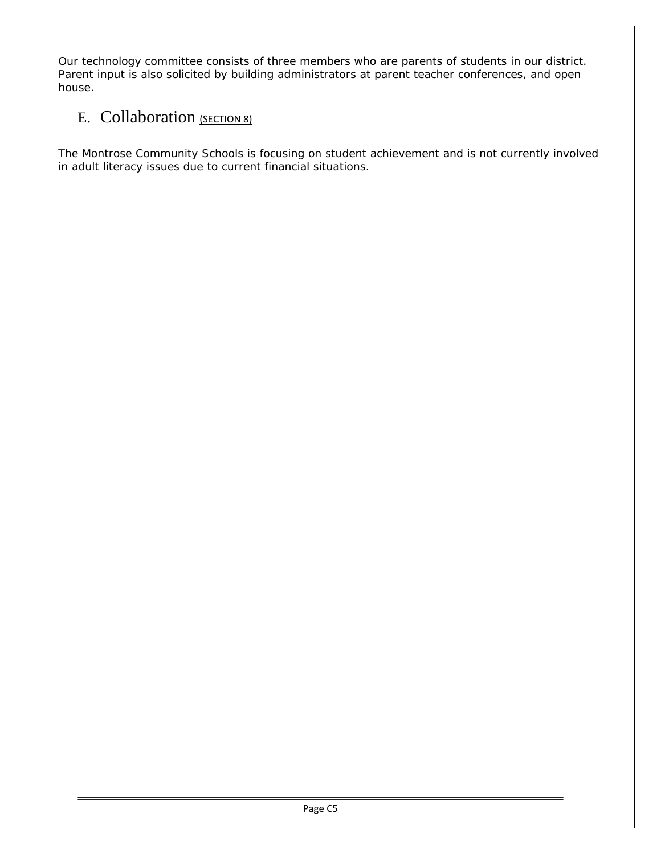Our technology committee consists of three members who are parents of students in our district. Parent input is also solicited by building administrators at parent teacher conferences, and open house.

## E. Collaboration (SECTION 8)

The Montrose Community Schools is focusing on student achievement and is not currently involved in adult literacy issues due to current financial situations.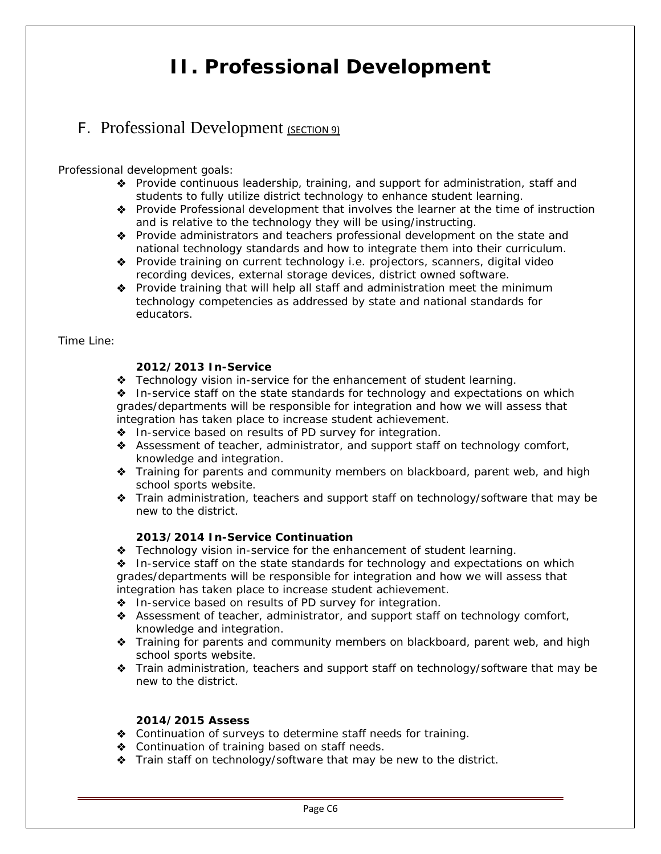# **II. Professional Development**

## <span id="page-9-0"></span>F. Professional Development (SECTION 9)

Professional development goals:

- Provide continuous leadership, training, and support for administration, staff and students to fully utilize district technology to enhance student learning.
- Provide Professional development that involves the learner at the time of instruction and is relative to the technology they will be using/instructing.
- Provide administrators and teachers professional development on the state and national technology standards and how to integrate them into their curriculum.
- ◆ Provide training on current technology i.e. projectors, scanners, digital video recording devices, external storage devices, district owned software.
- Provide training that will help all staff and administration meet the minimum technology competencies as addressed by state and national standards for educators.

Time Line:

### **2012/2013 In-Service**

**\*** Technology vision in-service for the enhancement of student learning.

◆ In-service staff on the state standards for technology and expectations on which grades/departments will be responsible for integration and how we will assess that integration has taken place to increase student achievement.

- $\bullet$  In-service based on results of PD survey for integration.
- Assessment of teacher, administrator, and support staff on technology comfort, knowledge and integration.
- Training for parents and community members on blackboard, parent web, and high school sports website.
- Train administration, teachers and support staff on technology/software that may be new to the district.

### **2013/2014 In-Service Continuation**

 $\triangle$  Technology vision in-service for the enhancement of student learning.

 In-service staff on the state standards for technology and expectations on which grades/departments will be responsible for integration and how we will assess that integration has taken place to increase student achievement.

- $\bullet$  In-service based on results of PD survey for integration.
- Assessment of teacher, administrator, and support staff on technology comfort, knowledge and integration.
- Training for parents and community members on blackboard, parent web, and high school sports website.
- Train administration, teachers and support staff on technology/software that may be new to the district.

### **2014/2015 Assess**

- Continuation of surveys to determine staff needs for training.
- ◆ Continuation of training based on staff needs.
- Train staff on technology/software that may be new to the district.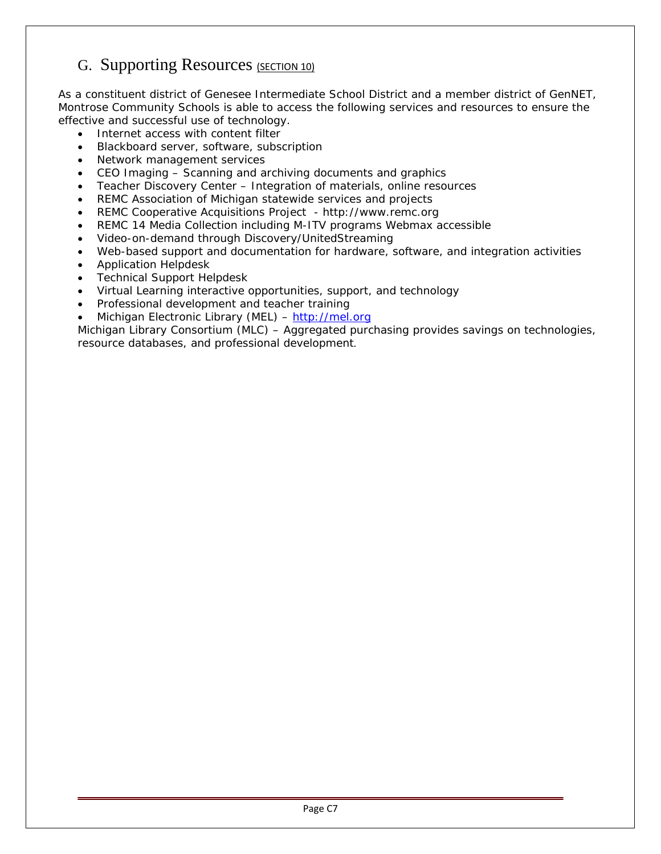## G. Supporting Resources (SECTION 10)

As a constituent district of Genesee Intermediate School District and a member district of GenNET, Montrose Community Schools is able to access the following services and resources to ensure the effective and successful use of technology.

- Internet access with content filter
- Blackboard server, software, subscription
- Network management services
- CEO Imaging Scanning and archiving documents and graphics
- Teacher Discovery Center Integration of materials, online resources
- REMC Association of Michigan statewide services and projects
- REMC Cooperative Acquisitions Project http://www.remc.org
- REMC 14 Media Collection including M-ITV programs Webmax accessible
- Video-on-demand through Discovery/UnitedStreaming
- Web-based support and documentation for hardware, software, and integration activities
- Application Helpdesk
- Technical Support Helpdesk
- Virtual Learning interactive opportunities, support, and technology
- Professional development and teacher training
- Michigan Electronic Library (MEL) – [http://mel.org](http://mel.org/)

Michigan Library Consortium (MLC) – Aggregated purchasing provides savings on technologies, resource databases, and professional development.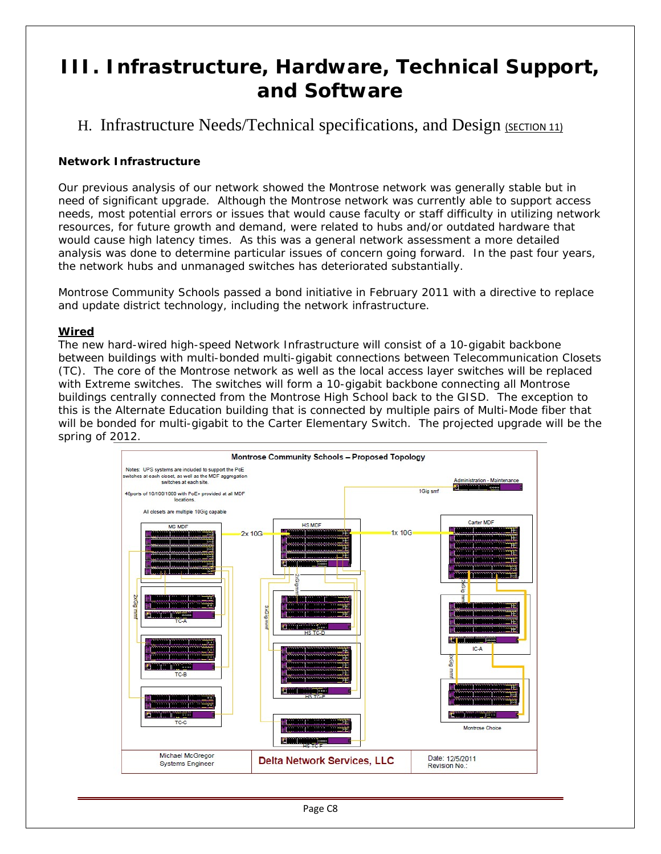# <span id="page-11-0"></span>**III. Infrastructure, Hardware, Technical Support, and Software**

H. Infrastructure Needs/Technical specifications, and Design (SECTION 11)

### **Network Infrastructure**

Our previous analysis of our network showed the Montrose network was generally stable but in need of significant upgrade. Although the Montrose network was currently able to support access needs, most potential errors or issues that would cause faculty or staff difficulty in utilizing network resources, for future growth and demand, were related to hubs and/or outdated hardware that would cause high latency times. As this was a general network assessment a more detailed analysis was done to determine particular issues of concern going forward. In the past four years, the network hubs and unmanaged switches has deteriorated substantially.

Montrose Community Schools passed a bond initiative in February 2011 with a directive to replace and update district technology, including the network infrastructure.

### **Wired**

The new hard-wired high-speed Network Infrastructure will consist of a 10-gigabit backbone between buildings with multi-bonded multi-gigabit connections between Telecommunication Closets (TC). The core of the Montrose network as well as the local access layer switches will be replaced with Extreme switches. The switches will form a 10-gigabit backbone connecting all Montrose buildings centrally connected from the Montrose High School back to the GISD. The exception to this is the Alternate Education building that is connected by multiple pairs of Multi-Mode fiber that will be bonded for multi-gigabit to the Carter Elementary Switch. The projected upgrade will be the spring of 2012.

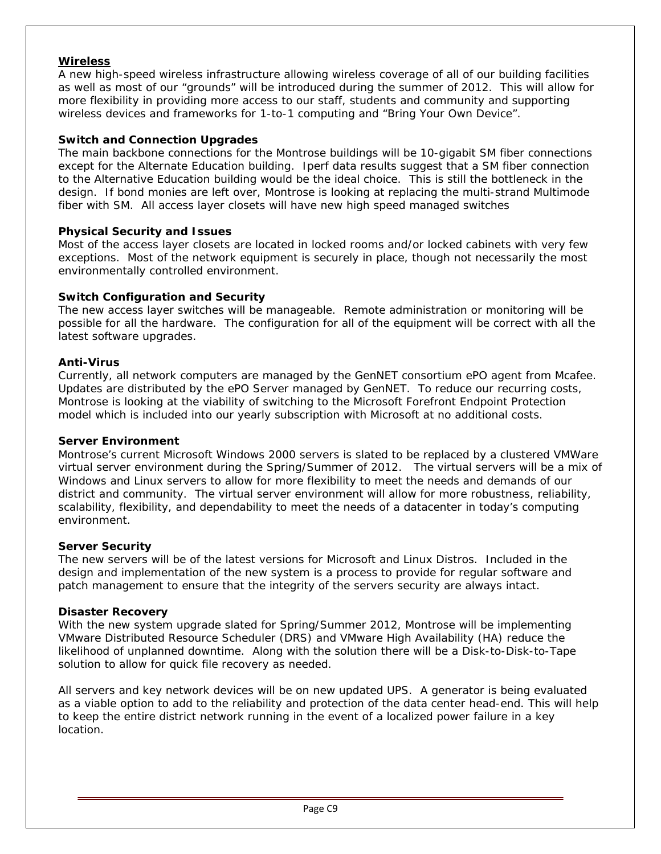### **Wireless**

A new high-speed wireless infrastructure allowing wireless coverage of all of our building facilities as well as most of our "grounds" will be introduced during the summer of 2012. This will allow for more flexibility in providing more access to our staff, students and community and supporting wireless devices and frameworks for 1-to-1 computing and "Bring Your Own Device".

### **Switch and Connection Upgrades**

The main backbone connections for the Montrose buildings will be 10-gigabit SM fiber connections except for the Alternate Education building. Iperf data results suggest that a SM fiber connection to the Alternative Education building would be the ideal choice. This is still the bottleneck in the design. If bond monies are left over, Montrose is looking at replacing the multi-strand Multimode fiber with SM. All access layer closets will have new high speed managed switches

### **Physical Security and Issues**

Most of the access layer closets are located in locked rooms and/or locked cabinets with very few exceptions. Most of the network equipment is securely in place, though not necessarily the most environmentally controlled environment.

### **Switch Configuration and Security**

The new access layer switches will be manageable. Remote administration or monitoring will be possible for all the hardware. The configuration for all of the equipment will be correct with all the latest software upgrades.

### **Anti-Virus**

Currently, all network computers are managed by the GenNET consortium ePO agent from Mcafee. Updates are distributed by the ePO Server managed by GenNET. To reduce our recurring costs, Montrose is looking at the viability of switching to the Microsoft Forefront Endpoint Protection model which is included into our yearly subscription with Microsoft at no additional costs.

### **Server Environment**

Montrose's current Microsoft Windows 2000 servers is slated to be replaced by a clustered VMWare virtual server environment during the Spring/Summer of 2012. The virtual servers will be a mix of Windows and Linux servers to allow for more flexibility to meet the needs and demands of our district and community. The virtual server environment will allow for more robustness, reliability, scalability, flexibility, and dependability to meet the needs of a datacenter in today's computing environment.

### **Server Security**

The new servers will be of the latest versions for Microsoft and Linux Distros. Included in the design and implementation of the new system is a process to provide for regular software and patch management to ensure that the integrity of the servers security are always intact.

### **Disaster Recovery**

With the new system upgrade slated for Spring/Summer 2012, Montrose will be implementing VMware Distributed Resource Scheduler (DRS) and VMware High Availability (HA) reduce the likelihood of unplanned downtime. Along with the solution there will be a Disk-to-Disk-to-Tape solution to allow for quick file recovery as needed.

All servers and key network devices will be on new updated UPS. A generator is being evaluated as a viable option to add to the reliability and protection of the data center head-end. This will help to keep the entire district network running in the event of a localized power failure in a key location.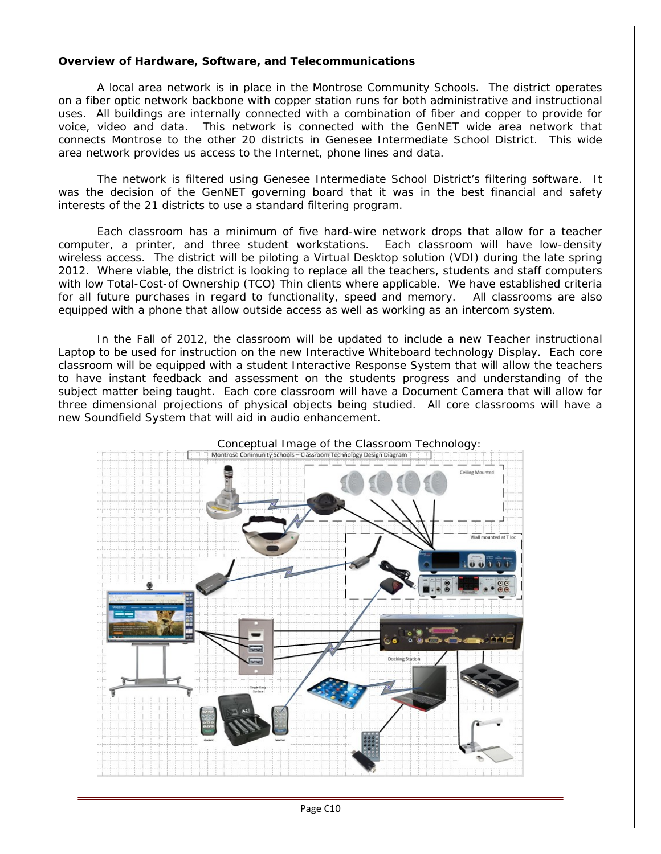### **Overview of Hardware, Software, and Telecommunications**

A local area network is in place in the Montrose Community Schools. The district operates on a fiber optic network backbone with copper station runs for both administrative and instructional uses. All buildings are internally connected with a combination of fiber and copper to provide for voice, video and data. This network is connected with the GenNET wide area network that connects Montrose to the other 20 districts in Genesee Intermediate School District. This wide area network provides us access to the Internet, phone lines and data.

The network is filtered using Genesee Intermediate School District's filtering software. It was the decision of the GenNET governing board that it was in the best financial and safety interests of the 21 districts to use a standard filtering program.

Each classroom has a minimum of five hard-wire network drops that allow for a teacher computer, a printer, and three student workstations. Each classroom will have low-density wireless access. The district will be piloting a Virtual Desktop solution (VDI) during the late spring 2012. Where viable, the district is looking to replace all the teachers, students and staff computers with low Total-Cost-of Ownership (TCO) Thin clients where applicable. We have established criteria for all future purchases in regard to functionality, speed and memory. All classrooms are also equipped with a phone that allow outside access as well as working as an intercom system.

In the Fall of 2012, the classroom will be updated to include a new Teacher instructional Laptop to be used for instruction on the new Interactive Whiteboard technology Display. Each core classroom will be equipped with a student Interactive Response System that will allow the teachers to have instant feedback and assessment on the students progress and understanding of the subject matter being taught. Each core classroom will have a Document Camera that will allow for three dimensional projections of physical objects being studied. All core classrooms will have a new Soundfield System that will aid in audio enhancement.



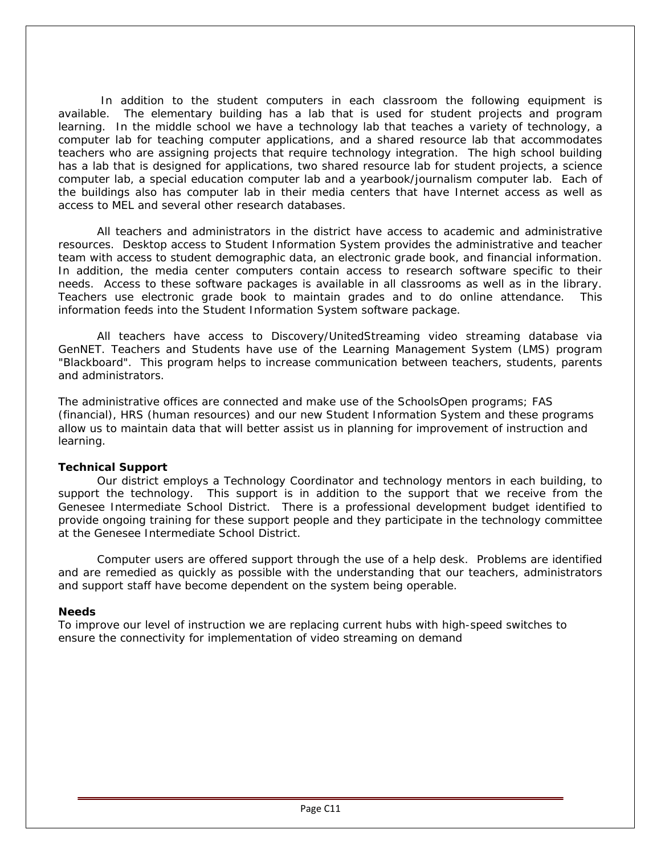In addition to the student computers in each classroom the following equipment is available. The elementary building has a lab that is used for student projects and program learning. In the middle school we have a technology lab that teaches a variety of technology, a computer lab for teaching computer applications, and a shared resource lab that accommodates teachers who are assigning projects that require technology integration. The high school building has a lab that is designed for applications, two shared resource lab for student projects, a science computer lab, a special education computer lab and a yearbook/journalism computer lab. Each of the buildings also has computer lab in their media centers that have Internet access as well as access to MEL and several other research databases.

All teachers and administrators in the district have access to academic and administrative resources. Desktop access to Student Information System provides the administrative and teacher team with access to student demographic data, an electronic grade book, and financial information. In addition, the media center computers contain access to research software specific to their needs. Access to these software packages is available in all classrooms as well as in the library. Teachers use electronic grade book to maintain grades and to do online attendance. This information feeds into the Student Information System software package.

All teachers have access to Discovery/UnitedStreaming video streaming database via GenNET. Teachers and Students have use of the Learning Management System (LMS) program "Blackboard". This program helps to increase communication between teachers, students, parents and administrators.

The administrative offices are connected and make use of the SchoolsOpen programs; FAS (financial), HRS (human resources) and our new Student Information System and these programs allow us to maintain data that will better assist us in planning for improvement of instruction and learning.

### **Technical Support**

Our district employs a Technology Coordinator and technology mentors in each building, to support the technology. This support is in addition to the support that we receive from the Genesee Intermediate School District. There is a professional development budget identified to provide ongoing training for these support people and they participate in the technology committee at the Genesee Intermediate School District.

Computer users are offered support through the use of a help desk. Problems are identified and are remedied as quickly as possible with the understanding that our teachers, administrators and support staff have become dependent on the system being operable.

### **Needs**

To improve our level of instruction we are replacing current hubs with high-speed switches to ensure the connectivity for implementation of video streaming on demand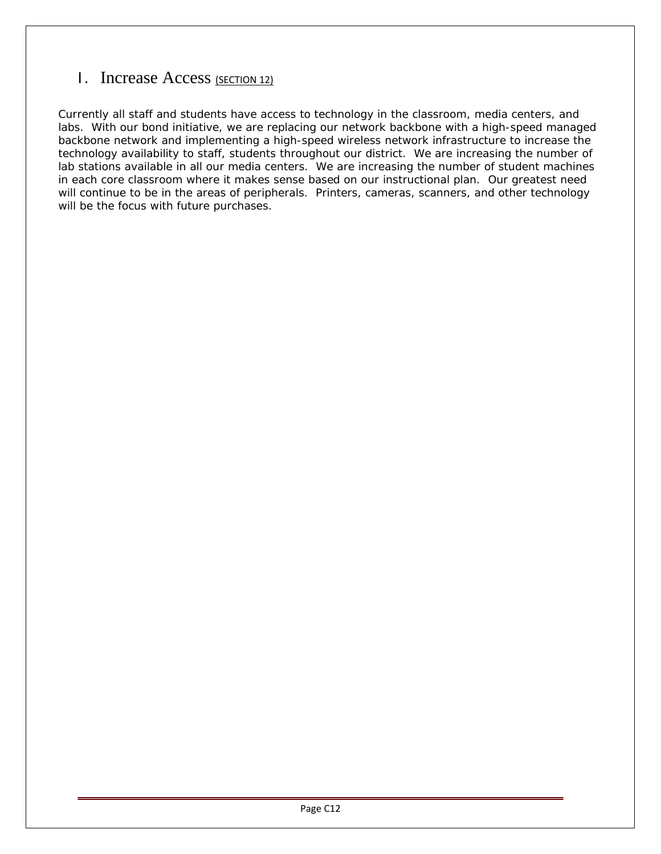## I. Increase Access (SECTION 12)

Currently all staff and students have access to technology in the classroom, media centers, and labs. With our bond initiative, we are replacing our network backbone with a high-speed managed backbone network and implementing a high-speed wireless network infrastructure to increase the technology availability to staff, students throughout our district. We are increasing the number of lab stations available in all our media centers. We are increasing the number of student machines in each core classroom where it makes sense based on our instructional plan. Our greatest need will continue to be in the areas of peripherals. Printers, cameras, scanners, and other technology will be the focus with future purchases.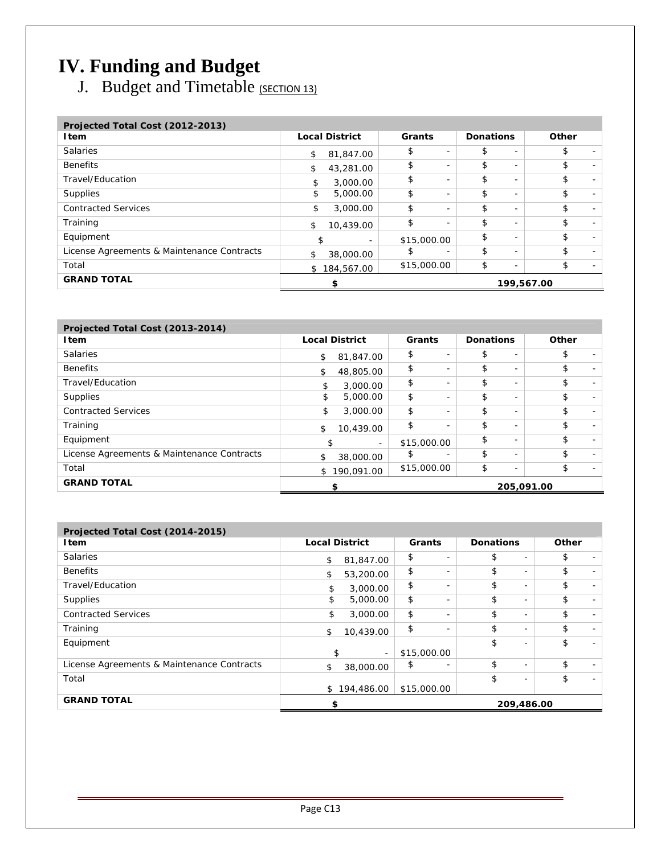# **IV. Funding and Budget**

J. Budget and Timetable (SECTION 13)

| Projected Total Cost (2012-2013)           |    |                       |             |                          |                  |                          |            |  |
|--------------------------------------------|----|-----------------------|-------------|--------------------------|------------------|--------------------------|------------|--|
| Item                                       |    | <b>Local District</b> | Grants      |                          | <b>Donations</b> |                          | Other      |  |
| <b>Salaries</b>                            | \$ | 81,847.00             | \$          |                          | \$               | $\overline{\phantom{0}}$ | \$         |  |
| <b>Benefits</b>                            | \$ | 43,281.00             | \$          |                          | \$               | $\overline{\phantom{0}}$ | \$         |  |
| Travel/Education                           | \$ | 3,000.00              | \$          |                          | \$               | $\overline{\phantom{0}}$ | \$         |  |
| Supplies                                   | \$ | 5,000.00              | \$          |                          | \$               | $\overline{\phantom{0}}$ | \$         |  |
| <b>Contracted Services</b>                 | \$ | 3,000.00              | \$          | $\overline{\phantom{a}}$ | \$               | $\overline{\phantom{0}}$ | \$         |  |
| Training                                   | \$ | 10,439.00             | \$          | з.                       | \$               | $\overline{\phantom{0}}$ | \$         |  |
| Equipment                                  |    |                       | \$15,000.00 |                          | \$               | $\overline{\phantom{0}}$ | \$         |  |
| License Agreements & Maintenance Contracts |    | 38,000.00             | \$          |                          | \$               | Ξ.                       | \$         |  |
| Total                                      | \$ | 184,567.00            | \$15,000.00 |                          | \$               | $\overline{\phantom{0}}$ | \$         |  |
| <b>GRAND TOTAL</b>                         |    |                       |             |                          |                  |                          | 199,567.00 |  |

| Projected Total Cost (2013-2014)           |                       |                          |                          |                  |                          |                                |
|--------------------------------------------|-----------------------|--------------------------|--------------------------|------------------|--------------------------|--------------------------------|
| <b>I</b> tem                               | <b>Local District</b> |                          | Grants                   | <b>Donations</b> |                          | Other                          |
| <b>Salaries</b>                            | \$<br>81,847,00       | \$                       | $\overline{\phantom{a}}$ | \$               | $\overline{\phantom{0}}$ | \$<br>$\overline{\phantom{0}}$ |
| <b>Benefits</b>                            | \$<br>48,805.00       | \$                       | $\overline{\phantom{a}}$ | \$               | $\overline{\phantom{0}}$ | \$<br>$\overline{\phantom{0}}$ |
| Travel/Education                           | \$                    | \$<br>3,000.00           | $\overline{\phantom{0}}$ | \$               | $\overline{\phantom{a}}$ | \$<br>$\overline{\phantom{0}}$ |
| Supplies                                   | \$                    | \$<br>5,000.00           | $\overline{\phantom{a}}$ | \$               | $\overline{\phantom{0}}$ | \$<br>$\overline{\phantom{0}}$ |
| <b>Contracted Services</b>                 | \$                    | \$<br>3,000.00           | $\overline{\phantom{a}}$ | \$               | $\overline{\phantom{0}}$ | \$<br>$\overline{\phantom{0}}$ |
| Training                                   | \$                    | \$<br>10,439.00          | $\overline{\phantom{a}}$ | \$               | $\overline{\phantom{a}}$ | \$<br>$\overline{\phantom{0}}$ |
| Equipment                                  | \$                    | $\overline{\phantom{0}}$ | \$15,000.00              | \$               | $\overline{\phantom{0}}$ | \$<br>$\overline{\phantom{a}}$ |
| License Agreements & Maintenance Contracts | \$<br>38,000.00       | \$                       | $\overline{\phantom{0}}$ | \$               | $\overline{\phantom{0}}$ | \$<br>$\overline{\phantom{0}}$ |
| Total                                      | \$190,091.00          |                          | \$15,000.00              | \$               | $\overline{\phantom{0}}$ | \$                             |
| <b>GRAND TOTAL</b>                         | \$                    |                          |                          |                  |                          | 205,091.00                     |

| Projected Total Cost (2014-2015)           |                       |                                |                                |       |
|--------------------------------------------|-----------------------|--------------------------------|--------------------------------|-------|
| <b>Item</b>                                | <b>Local District</b> | Grants                         | <b>Donations</b>               | Other |
| <b>Salaries</b>                            | 81,847.00<br>\$       | \$<br>$\overline{\phantom{a}}$ | \$<br>$\overline{\phantom{a}}$ | \$    |
| <b>Benefits</b>                            | \$<br>53,200.00       | \$<br>$\overline{\phantom{0}}$ | \$<br>$\overline{\phantom{a}}$ | \$    |
| Travel/Education                           | 3,000.00<br>\$        | \$<br>$\overline{\phantom{a}}$ | \$<br>$\overline{\phantom{a}}$ | \$    |
| Supplies                                   | \$<br>5,000.00        | \$<br>$\overline{\phantom{a}}$ | \$<br>$\overline{\phantom{a}}$ | \$    |
| <b>Contracted Services</b>                 | 3,000.00<br>\$        | \$<br>$\overline{\phantom{0}}$ | \$<br>$\overline{\phantom{a}}$ | \$    |
| Training                                   | \$<br>10,439.00       | \$<br>$\overline{\phantom{a}}$ | \$<br>$\overline{\phantom{a}}$ | \$    |
| Equipment                                  |                       |                                | \$<br>$\overline{\phantom{a}}$ | \$    |
|                                            | \$<br>$\sim$          | \$15,000.00                    |                                |       |
| License Agreements & Maintenance Contracts | \$<br>38,000.00       | \$                             | \$<br>$\overline{\phantom{a}}$ | \$    |
| Total                                      |                       |                                | \$<br>$\overline{\phantom{a}}$ | \$    |
|                                            | 194,486.00<br>\$      | \$15,000.00                    |                                |       |
| <b>GRAND TOTAL</b>                         | \$                    |                                | 209,486.00                     |       |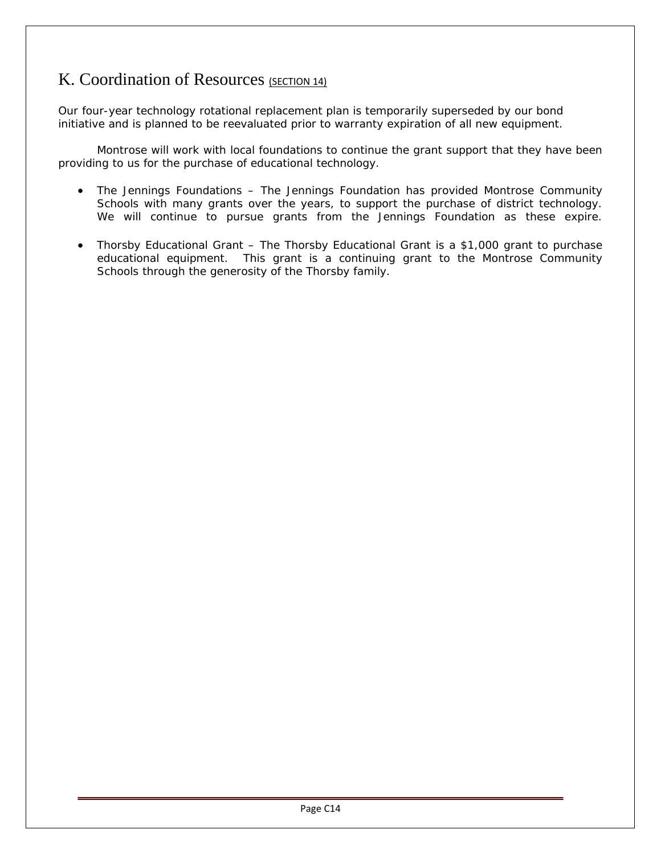## K. Coordination of Resources (SECTION 14)

Our four-year technology rotational replacement plan is temporarily superseded by our bond initiative and is planned to be reevaluated prior to warranty expiration of all new equipment.

Montrose will work with local foundations to continue the grant support that they have been providing to us for the purchase of educational technology.

- The Jennings Foundations The Jennings Foundation has provided Montrose Community Schools with many grants over the years, to support the purchase of district technology. We will continue to pursue grants from the Jennings Foundation as these expire.
- Thorsby Educational Grant The Thorsby Educational Grant is a \$1,000 grant to purchase educational equipment. This grant is a continuing grant to the Montrose Community Schools through the generosity of the Thorsby family.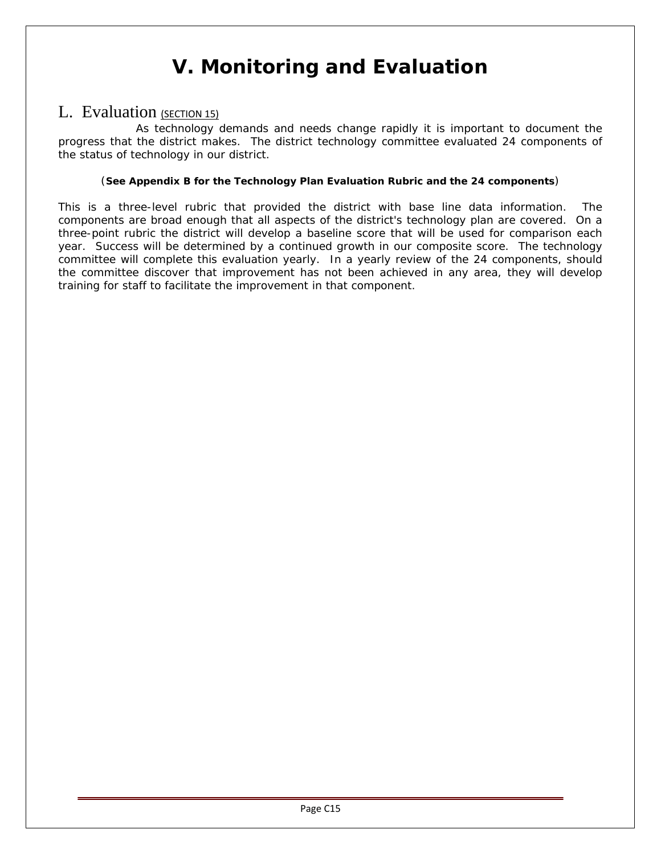# **V. Monitoring and Evaluation**

## <span id="page-18-0"></span>L. Evaluation (SECTION 15)

As technology demands and needs change rapidly it is important to document the progress that the district makes. The district technology committee evaluated 24 components of the status of technology in our district.

### (**See Appendix B for the Technology Plan Evaluation Rubric and the 24 components**)

This is a three-level rubric that provided the district with base line data information. The components are broad enough that all aspects of the district's technology plan are covered. On a three-point rubric the district will develop a baseline score that will be used for comparison each year. Success will be determined by a continued growth in our composite score. The technology committee will complete this evaluation yearly. In a yearly review of the 24 components, should the committee discover that improvement has not been achieved in any area, they will develop training for staff to facilitate the improvement in that component.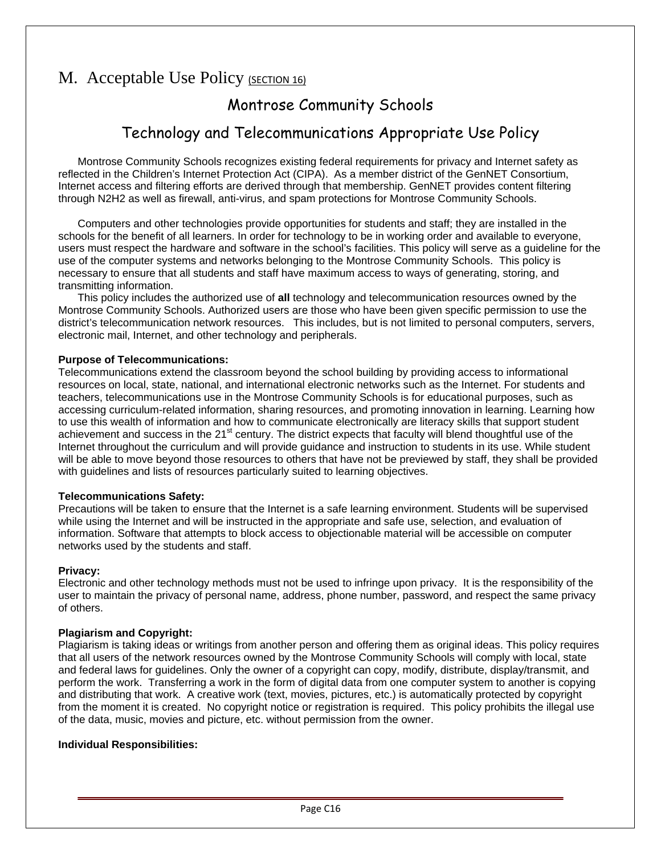## M. Acceptable Use Policy (SECTION 16)

## Montrose Community Schools

## Technology and Telecommunications Appropriate Use Policy

Montrose Community Schools recognizes existing federal requirements for privacy and Internet safety as reflected in the Children's Internet Protection Act (CIPA). As a member district of the GenNET Consortium, Internet access and filtering efforts are derived through that membership. GenNET provides content filtering through N2H2 as well as firewall, anti-virus, and spam protections for Montrose Community Schools.

Computers and other technologies provide opportunities for students and staff; they are installed in the schools for the benefit of all learners. In order for technology to be in working order and available to everyone, users must respect the hardware and software in the school's facilities. This policy will serve as a guideline for the use of the computer systems and networks belonging to the Montrose Community Schools. This policy is necessary to ensure that all students and staff have maximum access to ways of generating, storing, and transmitting information.

This policy includes the authorized use of **all** technology and telecommunication resources owned by the Montrose Community Schools. Authorized users are those who have been given specific permission to use the district's telecommunication network resources. This includes, but is not limited to personal computers, servers, electronic mail, Internet, and other technology and peripherals.

### **Purpose of Telecommunications:**

Telecommunications extend the classroom beyond the school building by providing access to informational resources on local, state, national, and international electronic networks such as the Internet. For students and teachers, telecommunications use in the Montrose Community Schools is for educational purposes, such as accessing curriculum-related information, sharing resources, and promoting innovation in learning. Learning how to use this wealth of information and how to communicate electronically are literacy skills that support student achievement and success in the 21<sup>st</sup> century. The district expects that faculty will blend thoughtful use of the Internet throughout the curriculum and will provide guidance and instruction to students in its use. While student will be able to move beyond those resources to others that have not be previewed by staff, they shall be provided with guidelines and lists of resources particularly suited to learning objectives.

### **Telecommunications Safety:**

Precautions will be taken to ensure that the Internet is a safe learning environment. Students will be supervised while using the Internet and will be instructed in the appropriate and safe use, selection, and evaluation of information. Software that attempts to block access to objectionable material will be accessible on computer networks used by the students and staff.

### **Privacy:**

Electronic and other technology methods must not be used to infringe upon privacy. It is the responsibility of the user to maintain the privacy of personal name, address, phone number, password, and respect the same privacy of others.

### **Plagiarism and Copyright:**

Plagiarism is taking ideas or writings from another person and offering them as original ideas. This policy requires that all users of the network resources owned by the Montrose Community Schools will comply with local, state and federal laws for guidelines. Only the owner of a copyright can copy, modify, distribute, display/transmit, and perform the work. Transferring a work in the form of digital data from one computer system to another is copying and distributing that work. A creative work (text, movies, pictures, etc.) is automatically protected by copyright from the moment it is created. No copyright notice or registration is required. This policy prohibits the illegal use of the data, music, movies and picture, etc. without permission from the owner.

### **Individual Responsibilities:**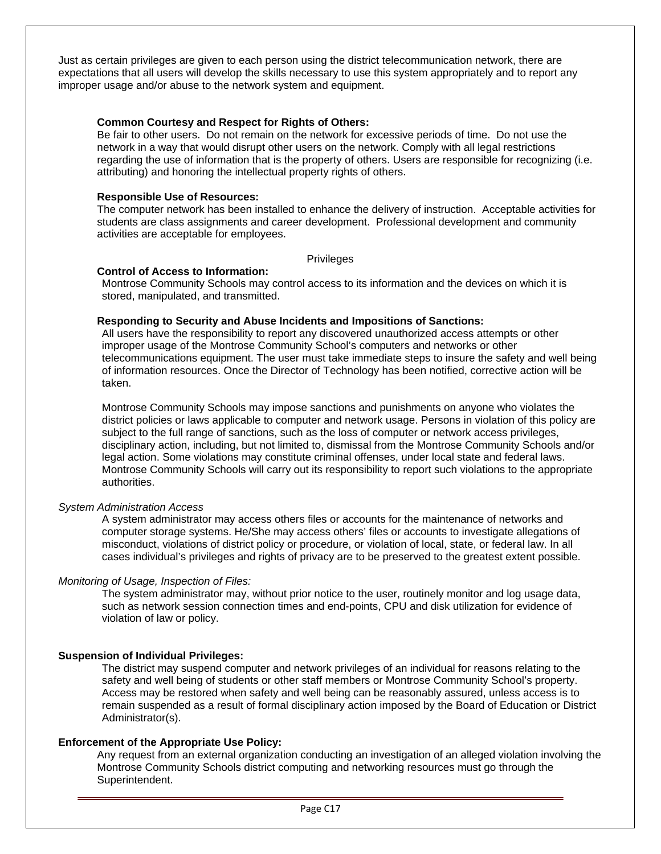<span id="page-20-0"></span>Just as certain privileges are given to each person using the district telecommunication network, there are expectations that all users will develop the skills necessary to use this system appropriately and to report any improper usage and/or abuse to the network system and equipment.

#### **Common Courtesy and Respect for Rights of Others:**

Be fair to other users. Do not remain on the network for excessive periods of time. Do not use the network in a way that would disrupt other users on the network. Comply with all legal restrictions regarding the use of information that is the property of others. Users are responsible for recognizing (i.e. attributing) and honoring the intellectual property rights of others.

#### **Responsible Use of Resources:**

The computer network has been installed to enhance the delivery of instruction. Acceptable activities for students are class assignments and career development. Professional development and community activities are acceptable for employees.

Privileges

#### **Control of Access to Information:**

Montrose Community Schools may control access to its information and the devices on which it is stored, manipulated, and transmitted.

#### **Responding to Security and Abuse Incidents and Impositions of Sanctions:**

All users have the responsibility to report any discovered unauthorized access attempts or other improper usage of the Montrose Community School's computers and networks or other telecommunications equipment. The user must take immediate steps to insure the safety and well being of information resources. Once the Director of Technology has been notified, corrective action will be taken.

Montrose Community Schools may impose sanctions and punishments on anyone who violates the district policies or laws applicable to computer and network usage. Persons in violation of this policy are subject to the full range of sanctions, such as the loss of computer or network access privileges, disciplinary action, including, but not limited to, dismissal from the Montrose Community Schools and/or legal action. Some violations may constitute criminal offenses, under local state and federal laws. Montrose Community Schools will carry out its responsibility to report such violations to the appropriate authorities.

### *System Administration Access*

A system administrator may access others files or accounts for the maintenance of networks and computer storage systems. He/She may access others' files or accounts to investigate allegations of misconduct, violations of district policy or procedure, or violation of local, state, or federal law. In all cases individual's privileges and rights of privacy are to be preserved to the greatest extent possible.

### *Monitoring of Usage, Inspection of Files:*

The system administrator may, without prior notice to the user, routinely monitor and log usage data, such as network session connection times and end-points, CPU and disk utilization for evidence of violation of law or policy.

### **Suspension of Individual Privileges:**

The district may suspend computer and network privileges of an individual for reasons relating to the safety and well being of students or other staff members or Montrose Community School's property. Access may be restored when safety and well being can be reasonably assured, unless access is to remain suspended as a result of formal disciplinary action imposed by the Board of Education or District Administrator(s).

### **Enforcement of the Appropriate Use Policy:**

Any request from an external organization conducting an investigation of an alleged violation involving the Montrose Community Schools district computing and networking resources must go through the Superintendent.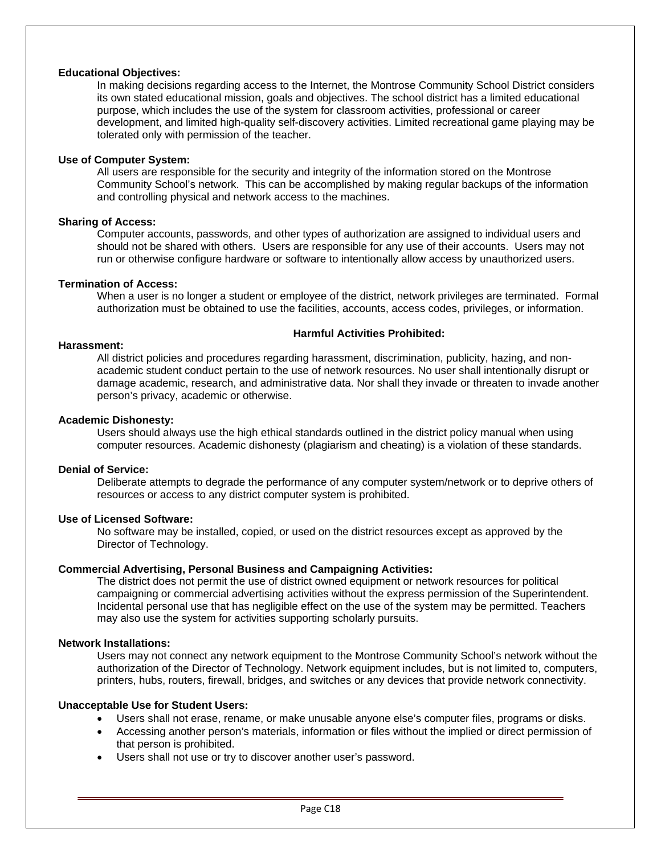#### **Educational Objectives:**

In making decisions regarding access to the Internet, the Montrose Community School District considers its own stated educational mission, goals and objectives. The school district has a limited educational purpose, which includes the use of the system for classroom activities, professional or career development, and limited high-quality self-discovery activities. Limited recreational game playing may be tolerated only with permission of the teacher.

#### **Use of Computer System:**

All users are responsible for the security and integrity of the information stored on the Montrose Community School's network. This can be accomplished by making regular backups of the information and controlling physical and network access to the machines.

#### **Sharing of Access:**

Computer accounts, passwords, and other types of authorization are assigned to individual users and should not be shared with others. Users are responsible for any use of their accounts. Users may not run or otherwise configure hardware or software to intentionally allow access by unauthorized users.

### **Termination of Access:**

When a user is no longer a student or employee of the district, network privileges are terminated. Formal authorization must be obtained to use the facilities, accounts, access codes, privileges, or information.

#### **Harmful Activities Prohibited:**

#### **Harassment:**

All district policies and procedures regarding harassment, discrimination, publicity, hazing, and nonacademic student conduct pertain to the use of network resources. No user shall intentionally disrupt or damage academic, research, and administrative data. Nor shall they invade or threaten to invade another person's privacy, academic or otherwise.

#### **Academic Dishonesty:**

Users should always use the high ethical standards outlined in the district policy manual when using computer resources. Academic dishonesty (plagiarism and cheating) is a violation of these standards.

#### **Denial of Service:**

Deliberate attempts to degrade the performance of any computer system/network or to deprive others of resources or access to any district computer system is prohibited.

### **Use of Licensed Software:**

No software may be installed, copied, or used on the district resources except as approved by the Director of Technology.

### **Commercial Advertising, Personal Business and Campaigning Activities:**

The district does not permit the use of district owned equipment or network resources for political campaigning or commercial advertising activities without the express permission of the Superintendent. Incidental personal use that has negligible effect on the use of the system may be permitted. Teachers may also use the system for activities supporting scholarly pursuits.

### **Network Installations:**

Users may not connect any network equipment to the Montrose Community School's network without the authorization of the Director of Technology. Network equipment includes, but is not limited to, computers, printers, hubs, routers, firewall, bridges, and switches or any devices that provide network connectivity.

### **Unacceptable Use for Student Users:**

- Users shall not erase, rename, or make unusable anyone else's computer files, programs or disks.
- Accessing another person's materials, information or files without the implied or direct permission of that person is prohibited.
- Users shall not use or try to discover another user's password.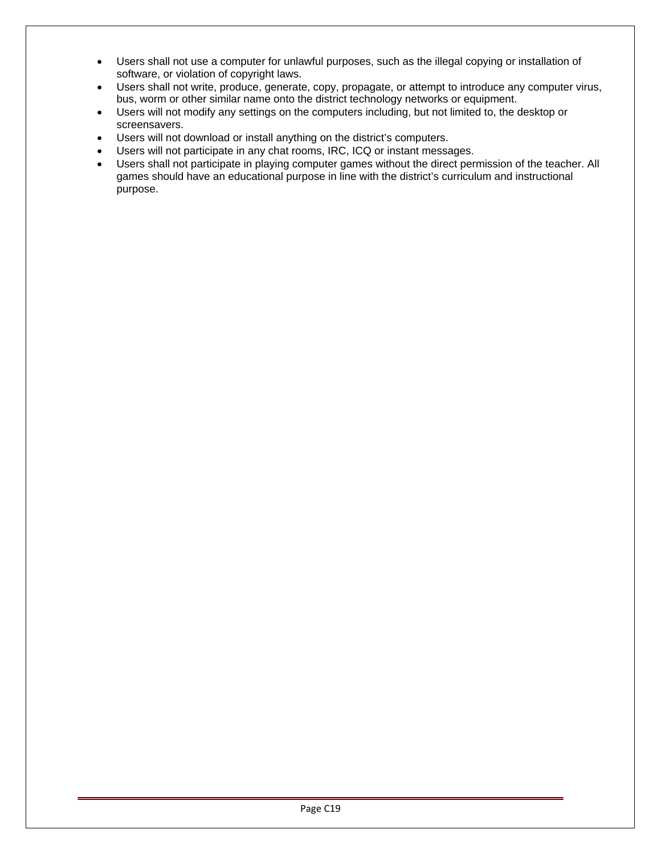- Users shall not use a computer for unlawful purposes, such as the illegal copying or installation of software, or violation of copyright laws.
- Users shall not write, produce, generate, copy, propagate, or attempt to introduce any computer virus, bus, worm or other similar name onto the district technology networks or equipment.
- Users will not modify any settings on the computers including, but not limited to, the desktop or screensavers.
- Users will not download or install anything on the district's computers.
- Users will not participate in any chat rooms, IRC, ICQ or instant messages.
- Users shall not participate in playing computer games without the direct permission of the teacher. All games should have an educational purpose in line with the district's curriculum and instructional purpose.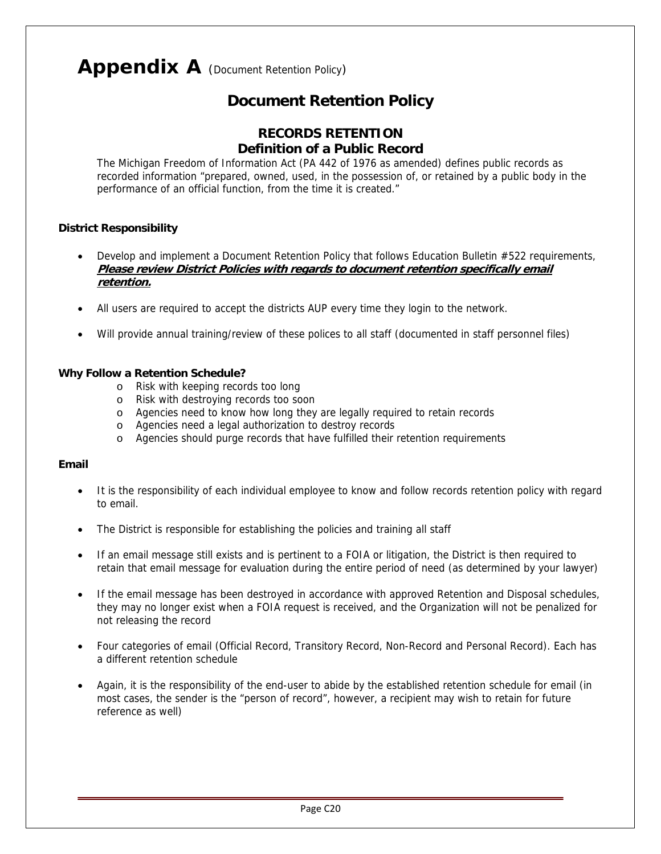# Appendix A (Document Retention Policy)

## **Document Retention Policy**

### **RECORDS RETENTION Definition of a Public Record**

The Michigan Freedom of Information Act (PA 442 of 1976 as amended) defines public records as recorded information "prepared, owned, used, in the possession of, or retained by a public body in the performance of an official function, from the time it is created."

### **District Responsibility**

- Develop and implement a Document Retention Policy that follows Education Bulletin #522 requirements, **Please review District Policies with regards to document retention specifically email retention.**
- All users are required to accept the districts AUP every time they login to the network.
- Will provide annual training/review of these polices to all staff (documented in staff personnel files)

### **Why Follow a Retention Schedule?**

- o Risk with keeping records too long
- o Risk with destroying records too soon
- o Agencies need to know how long they are legally required to retain records
- o Agencies need a legal authorization to destroy records
- o Agencies should purge records that have fulfilled their retention requirements

### **Email**

- It is the responsibility of each individual employee to know and follow records retention policy with regard to email.
- The District is responsible for establishing the policies and training all staff
- If an email message still exists and is pertinent to a FOIA or litigation, the District is then required to retain that email message for evaluation during the entire period of need (as determined by your lawyer)
- If the email message has been destroyed in accordance with approved Retention and Disposal schedules, they may no longer exist when a FOIA request is received, and the Organization will not be penalized for not releasing the record
- Four categories of email (Official Record, Transitory Record, Non-Record and Personal Record). Each has a different retention schedule
- Again, it is the responsibility of the end-user to abide by the established retention schedule for email (in most cases, the sender is the "person of record", however, a recipient may wish to retain for future reference as well)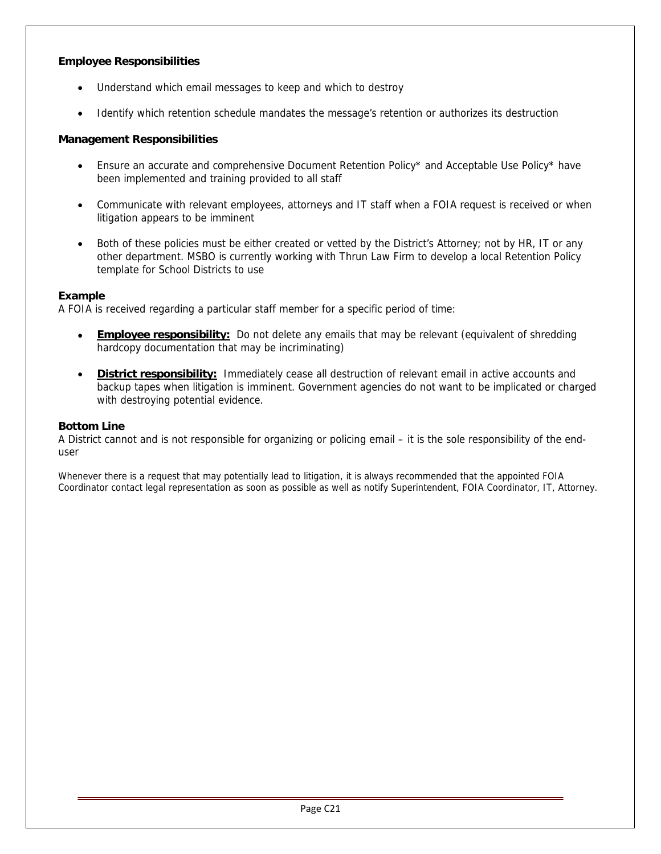### **Employee Responsibilities**

- Understand which email messages to keep and which to destroy
- Identify which retention schedule mandates the message's retention or authorizes its destruction

### **Management Responsibilities**

- Ensure an accurate and comprehensive Document Retention Policy\* and Acceptable Use Policy\* have been implemented and training provided to all staff
- Communicate with relevant employees, attorneys and IT staff when a FOIA request is received or when litigation appears to be imminent
- Both of these policies must be either created or vetted by the District's Attorney; not by HR, IT or any other department. MSBO is currently working with Thrun Law Firm to develop a local Retention Policy template for School Districts to use

### **Example**

A FOIA is received regarding a particular staff member for a specific period of time:

- **Employee responsibility:** Do not delete any emails that may be relevant (equivalent of shredding hardcopy documentation that may be incriminating)
- **District responsibility:** Immediately cease all destruction of relevant email in active accounts and backup tapes when litigation is imminent. Government agencies do not want to be implicated or charged with destroying potential evidence.

### **Bottom Line**

A District cannot and is not responsible for organizing or policing email – it is the sole responsibility of the enduser

Whenever there is a request that may potentially lead to litigation, it is always recommended that the appointed FOIA Coordinator contact legal representation as soon as possible as well as notify Superintendent, FOIA Coordinator, IT, Attorney.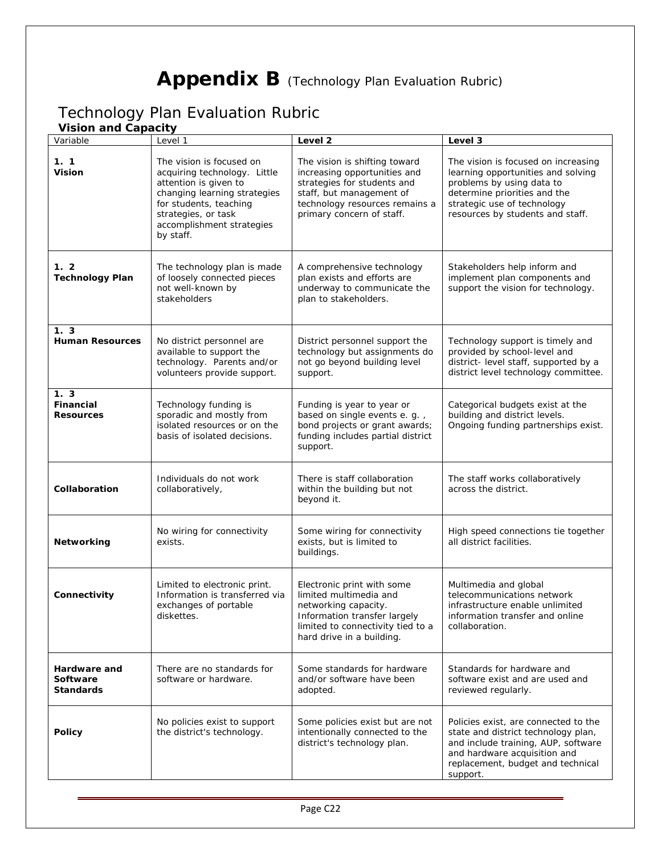# Appendix B (Technology Plan Evaluation Rubric)

## <span id="page-25-0"></span>Technology Plan Evaluation Rubric

### **Vision and Capacity**

| Variable                                            | Level 1                                                                                                                                                                                                      | Level <sub>2</sub>                                                                                                                                                                      | Level 3                                                                                                                                                                                                   |
|-----------------------------------------------------|--------------------------------------------------------------------------------------------------------------------------------------------------------------------------------------------------------------|-----------------------------------------------------------------------------------------------------------------------------------------------------------------------------------------|-----------------------------------------------------------------------------------------------------------------------------------------------------------------------------------------------------------|
| 1.1<br><b>Vision</b>                                | The vision is focused on<br>acquiring technology. Little<br>attention is given to<br>changing learning strategies<br>for students, teaching<br>strategies, or task<br>accomplishment strategies<br>by staff. | The vision is shifting toward<br>increasing opportunities and<br>strategies for students and<br>staff, but management of<br>technology resources remains a<br>primary concern of staff. | The vision is focused on increasing<br>learning opportunities and solving<br>problems by using data to<br>determine priorities and the<br>strategic use of technology<br>resources by students and staff. |
| 1.2<br><b>Technology Plan</b>                       | The technology plan is made<br>of loosely connected pieces<br>not well-known by<br>stakeholders                                                                                                              | A comprehensive technology<br>plan exists and efforts are<br>underway to communicate the<br>plan to stakeholders.                                                                       | Stakeholders help inform and<br>implement plan components and<br>support the vision for technology.                                                                                                       |
| 1.3<br><b>Human Resources</b>                       | No district personnel are<br>available to support the<br>technology. Parents and/or<br>volunteers provide support.                                                                                           | District personnel support the<br>technology but assignments do<br>not go beyond building level<br>support.                                                                             | Technology support is timely and<br>provided by school-level and<br>district- level staff, supported by a<br>district level technology committee.                                                         |
| 1.3<br>Financial<br><b>Resources</b>                | Technology funding is<br>sporadic and mostly from<br>isolated resources or on the<br>basis of isolated decisions.                                                                                            | Funding is year to year or<br>based on single events e. g.,<br>bond projects or grant awards;<br>funding includes partial district<br>support.                                          | Categorical budgets exist at the<br>building and district levels.<br>Ongoing funding partnerships exist.                                                                                                  |
| Collaboration                                       | Individuals do not work<br>collaboratively,                                                                                                                                                                  | There is staff collaboration<br>within the building but not<br>beyond it.                                                                                                               | The staff works collaboratively<br>across the district.                                                                                                                                                   |
| Networking                                          | No wiring for connectivity<br>exists.                                                                                                                                                                        | Some wiring for connectivity<br>exists, but is limited to<br>buildings.                                                                                                                 | High speed connections tie together<br>all district facilities.                                                                                                                                           |
| Connectivity                                        | Limited to electronic print.<br>Information is transferred via<br>exchanges of portable<br>diskettes.                                                                                                        | Electronic print with some<br>limited multimedia and<br>networking capacity.<br>Information transfer largely<br>limited to connectivity tied to a<br>hard drive in a building.          | Multimedia and global<br>telecommunications network<br>infrastructure enable unlimited<br>information transfer and online<br>collaboration.                                                               |
| Hardware and<br><b>Software</b><br><b>Standards</b> | There are no standards for<br>software or hardware.                                                                                                                                                          | Some standards for hardware<br>and/or software have been<br>adopted.                                                                                                                    | Standards for hardware and<br>software exist and are used and<br>reviewed regularly.                                                                                                                      |
| <b>Policy</b>                                       | No policies exist to support<br>the district's technology.                                                                                                                                                   | Some policies exist but are not<br>intentionally connected to the<br>district's technology plan.                                                                                        | Policies exist, are connected to the<br>state and district technology plan,<br>and include training, AUP, software<br>and hardware acquisition and<br>replacement, budget and technical<br>support.       |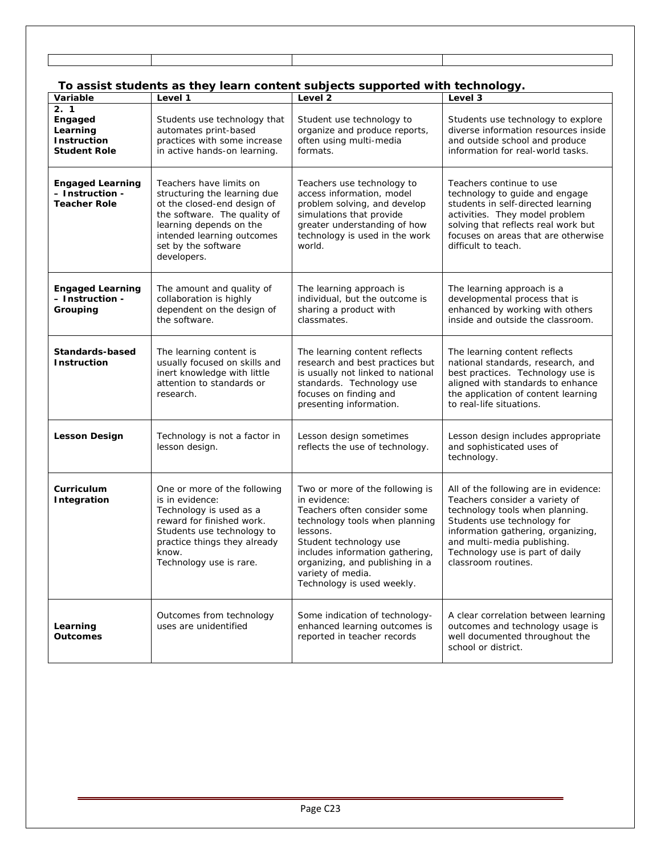## **To assist students as they learn content subjects supported with technology.**

| Variable                                                                | Level 1                                                                                                                                                                                                               | Level 2                                                                                                                                                                                                                                                                          | Level 3                                                                                                                                                                                                                                                                  |
|-------------------------------------------------------------------------|-----------------------------------------------------------------------------------------------------------------------------------------------------------------------------------------------------------------------|----------------------------------------------------------------------------------------------------------------------------------------------------------------------------------------------------------------------------------------------------------------------------------|--------------------------------------------------------------------------------------------------------------------------------------------------------------------------------------------------------------------------------------------------------------------------|
| 2.1<br>Engaged<br>Learning<br><b>Instruction</b><br><b>Student Role</b> | Students use technology that<br>automates print-based<br>practices with some increase<br>in active hands-on learning.                                                                                                 | Student use technology to<br>organize and produce reports,<br>often using multi-media<br>formats.                                                                                                                                                                                | Students use technology to explore<br>diverse information resources inside<br>and outside school and produce<br>information for real-world tasks.                                                                                                                        |
| <b>Engaged Learning</b><br>– Instruction -<br><b>Teacher Role</b>       | Teachers have limits on<br>structuring the learning due<br>ot the closed-end design of<br>the software. The quality of<br>learning depends on the<br>intended learning outcomes<br>set by the software<br>developers. | Teachers use technology to<br>access information, model<br>problem solving, and develop<br>simulations that provide<br>greater understanding of how<br>technology is used in the work<br>world.                                                                                  | Teachers continue to use<br>technology to guide and engage<br>students in self-directed learning<br>activities. They model problem<br>solving that reflects real work but<br>focuses on areas that are otherwise<br>difficult to teach.                                  |
| <b>Engaged Learning</b><br>- Instruction -<br>Grouping                  | The amount and quality of<br>collaboration is highly<br>dependent on the design of<br>the software.                                                                                                                   | The learning approach is<br>individual, but the outcome is<br>sharing a product with<br>classmates.                                                                                                                                                                              | The learning approach is a<br>developmental process that is<br>enhanced by working with others<br>inside and outside the classroom.                                                                                                                                      |
| Standards-based<br><b>Instruction</b>                                   | The learning content is<br>usually focused on skills and<br>inert knowledge with little<br>attention to standards or<br>research.                                                                                     | The learning content reflects<br>research and best practices but<br>is usually not linked to national<br>standards. Technology use<br>focuses on finding and<br>presenting information.                                                                                          | The learning content reflects<br>national standards, research, and<br>best practices. Technology use is<br>aligned with standards to enhance<br>the application of content learning<br>to real-life situations.                                                          |
| <b>Lesson Design</b>                                                    | Technology is not a factor in<br>lesson design.                                                                                                                                                                       | Lesson design sometimes<br>reflects the use of technology.                                                                                                                                                                                                                       | Lesson design includes appropriate<br>and sophisticated uses of<br>technology.                                                                                                                                                                                           |
| Curriculum<br><b>Integration</b>                                        | One or more of the following<br>is in evidence:<br>Technology is used as a<br>reward for finished work.<br>Students use technology to<br>practice things they already<br>know.<br>Technology use is rare.             | Two or more of the following is<br>in evidence:<br>Teachers often consider some<br>technology tools when planning<br>lessons.<br>Student technology use<br>includes information gathering,<br>organizing, and publishing in a<br>variety of media.<br>Technology is used weekly. | All of the following are in evidence:<br>Teachers consider a variety of<br>technology tools when planning.<br>Students use technology for<br>information gathering, organizing,<br>and multi-media publishing.<br>Technology use is part of daily<br>classroom routines. |
| Learning<br><b>Outcomes</b>                                             | Outcomes from technology<br>uses are unidentified                                                                                                                                                                     | Some indication of technology-<br>enhanced learning outcomes is<br>reported in teacher records                                                                                                                                                                                   | A clear correlation between learning<br>outcomes and technology usage is<br>well documented throughout the<br>school or district.                                                                                                                                        |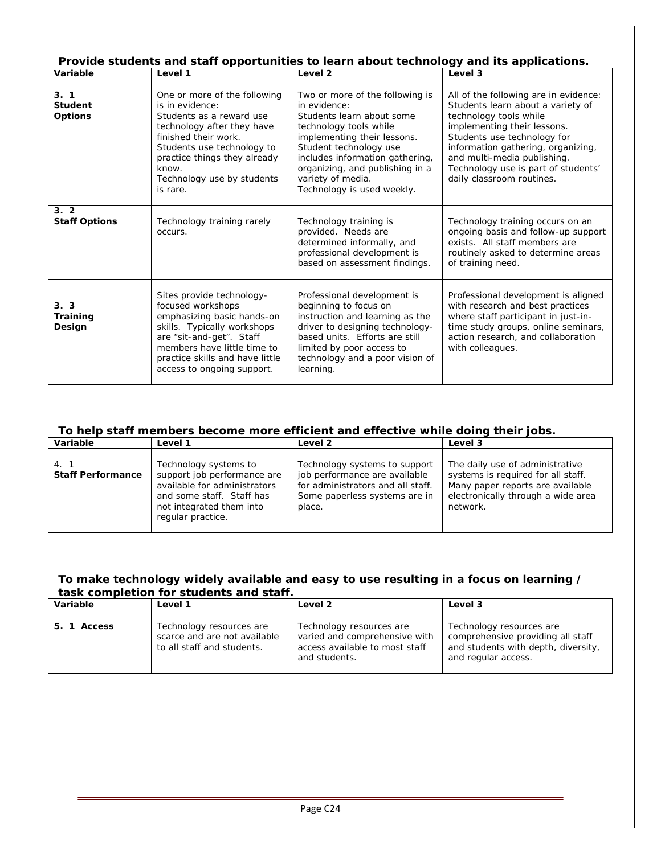| Provide students and staff opportunities to learn about technology and its applications. |                                                                                                                                                                                                                                                    |                                                                                                                                                                                                                                                                                          |                                                                                                                                                                                                                                                                                                             |  |
|------------------------------------------------------------------------------------------|----------------------------------------------------------------------------------------------------------------------------------------------------------------------------------------------------------------------------------------------------|------------------------------------------------------------------------------------------------------------------------------------------------------------------------------------------------------------------------------------------------------------------------------------------|-------------------------------------------------------------------------------------------------------------------------------------------------------------------------------------------------------------------------------------------------------------------------------------------------------------|--|
| Variable                                                                                 | Level 1                                                                                                                                                                                                                                            | Level <sub>2</sub>                                                                                                                                                                                                                                                                       | Level 3                                                                                                                                                                                                                                                                                                     |  |
| 3.1<br><b>Student</b><br><b>Options</b>                                                  | One or more of the following<br>is in evidence:<br>Students as a reward use<br>technology after they have<br>finished their work.<br>Students use technology to<br>practice things they already<br>know.<br>Technology use by students<br>is rare. | Two or more of the following is<br>in evidence:<br>Students learn about some<br>technology tools while<br>implementing their lessons.<br>Student technology use<br>includes information gathering,<br>organizing, and publishing in a<br>variety of media.<br>Technology is used weekly. | All of the following are in evidence:<br>Students learn about a variety of<br>technology tools while<br>implementing their lessons.<br>Students use technology for<br>information gathering, organizing,<br>and multi-media publishing.<br>Technology use is part of students'<br>daily classroom routines. |  |
| 3.2<br><b>Staff Options</b>                                                              | Technology training rarely<br>occurs.                                                                                                                                                                                                              | Technology training is<br>provided. Needs are<br>determined informally, and<br>professional development is<br>based on assessment findings.                                                                                                                                              | Technology training occurs on an<br>ongoing basis and follow-up support<br>exists. All staff members are<br>routinely asked to determine areas<br>of training need.                                                                                                                                         |  |
| 3.3<br>Training<br>Design                                                                | Sites provide technology-<br>focused workshops<br>emphasizing basic hands-on<br>skills. Typically workshops<br>are "sit-and-get". Staff<br>members have little time to<br>practice skills and have little<br>access to ongoing support.            | Professional development is<br>beginning to focus on<br>instruction and learning as the<br>driver to designing technology-<br>based units. Efforts are still<br>limited by poor access to<br>technology and a poor vision of<br>learning.                                                | Professional development is aligned<br>with research and best practices<br>where staff participant in just-in-<br>time study groups, online seminars,<br>action research, and collaboration<br>with colleagues.                                                                                             |  |

### **To help staff members become more efficient and effective while doing their jobs.**

| Variable                         | Level 1                                                                                                                                                            | Level 2                                                                                                                                        | Level 3                                                                                                                                                     |
|----------------------------------|--------------------------------------------------------------------------------------------------------------------------------------------------------------------|------------------------------------------------------------------------------------------------------------------------------------------------|-------------------------------------------------------------------------------------------------------------------------------------------------------------|
| 4. 1<br><b>Staff Performance</b> | Technology systems to<br>support job performance are<br>available for administrators<br>and some staff. Staff has<br>not integrated them into<br>regular practice. | Technology systems to support<br>job performance are available<br>for administrators and all staff.<br>Some paperless systems are in<br>place. | The daily use of administrative<br>systems is required for all staff.<br>Many paper reports are available<br>electronically through a wide area<br>network. |

### **To make technology widely available and easy to use resulting in a focus on learning / task completion for students and staff.**

| Variable    | Level 1                                                                                | Level 2                                                                                                      | Level 3                                                                                                                     |
|-------------|----------------------------------------------------------------------------------------|--------------------------------------------------------------------------------------------------------------|-----------------------------------------------------------------------------------------------------------------------------|
| 5. 1 Access | Technology resources are<br>scarce and are not available<br>to all staff and students. | Technology resources are<br>varied and comprehensive with<br>access available to most staff<br>and students. | Technology resources are<br>comprehensive providing all staff<br>and students with depth, diversity,<br>and regular access. |